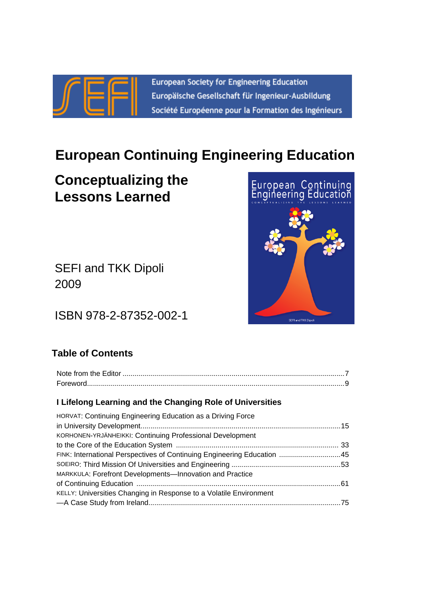

European Society for Engineering Education Europäische Gesellschaft für Ingenieur-Ausbildung Société Européenne pour la Formation des Ingénieurs

# **European Continuing Engineering Education**

# **Conceptualizing the Lessons Learned**

SEFI and TKK Dipoli 2009

ISBN 978-2-87352-002-1

## **Table of Contents**

| I Lifelong Learning and the Changing Role of Universities               |  |
|-------------------------------------------------------------------------|--|
| <b>HORVAT: Continuing Engineering Education as a Driving Force</b>      |  |
|                                                                         |  |
| KORHONEN-YRJÄNHEIKKI: Continuing Professional Development               |  |
|                                                                         |  |
| FINK: International Perspectives of Continuing Engineering Education 45 |  |
|                                                                         |  |
| MARKKULA: Forefront Developments-Innovation and Practice                |  |
|                                                                         |  |
| KELLY: Universities Changing in Response to a Volatile Environment      |  |
|                                                                         |  |